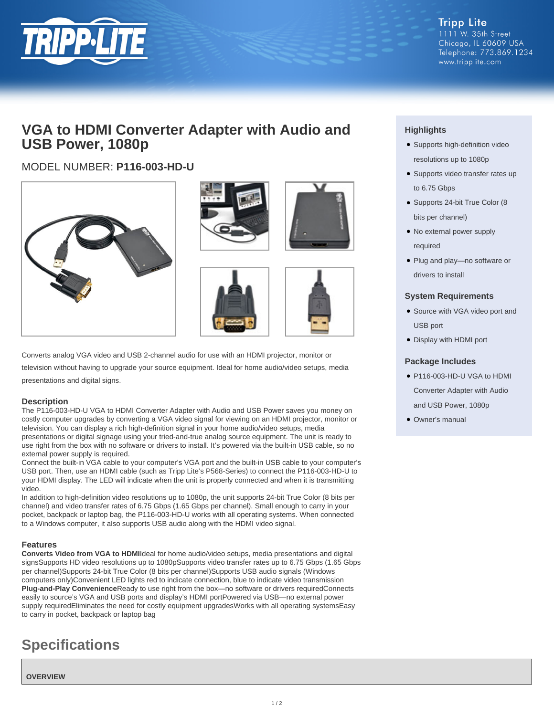

# **VGA to HDMI Converter Adapter with Audio and USB Power, 1080p**

# MODEL NUMBER: **P116-003-HD-U**











Converts analog VGA video and USB 2-channel audio for use with an HDMI projector, monitor or

television without having to upgrade your source equipment. Ideal for home audio/video setups, media presentations and digital signs.

#### **Description**

The P116-003-HD-U VGA to HDMI Converter Adapter with Audio and USB Power saves you money on costly computer upgrades by converting a VGA video signal for viewing on an HDMI projector, monitor or television. You can display a rich high-definition signal in your home audio/video setups, media presentations or digital signage using your tried-and-true analog source equipment. The unit is ready to use right from the box with no software or drivers to install. It's powered via the built-in USB cable, so no external power supply is required.

Connect the built-in VGA cable to your computer's VGA port and the built-in USB cable to your computer's USB port. Then, use an HDMI cable (such as Tripp Lite's P568-Series) to connect the P116-003-HD-U to your HDMI display. The LED will indicate when the unit is properly connected and when it is transmitting video.

In addition to high-definition video resolutions up to 1080p, the unit supports 24-bit True Color (8 bits per channel) and video transfer rates of 6.75 Gbps (1.65 Gbps per channel). Small enough to carry in your pocket, backpack or laptop bag, the P116-003-HD-U works with all operating systems. When connected to a Windows computer, it also supports USB audio along with the HDMI video signal.

## **Features**

**Converts Video from VGA to HDMI**Ideal for home audio/video setups, media presentations and digital signsSupports HD video resolutions up to 1080pSupports video transfer rates up to 6.75 Gbps (1.65 Gbps per channel)Supports 24-bit True Color (8 bits per channel)Supports USB audio signals (Windows computers only)Convenient LED lights red to indicate connection, blue to indicate video transmission **Plug-and-Play Convenience**Ready to use right from the box—no software or drivers requiredConnects easily to source's VGA and USB ports and display's HDMI portPowered via USB—no external power supply requiredEliminates the need for costly equipment upgradesWorks with all operating systemsEasy to carry in pocket, backpack or laptop bag

# **Specifications**

**OVERVIEW**

# **Highlights**

- Supports high-definition video resolutions up to 1080p
- Supports video transfer rates up to 6.75 Gbps
- Supports 24-bit True Color (8 bits per channel)
- No external power supply required
- Plug and play-no software or drivers to install

### **System Requirements**

- Source with VGA video port and USB port
- Display with HDMI port

### **Package Includes**

- P116-003-HD-U VGA to HDMI Converter Adapter with Audio and USB Power, 1080p
- Owner's manual